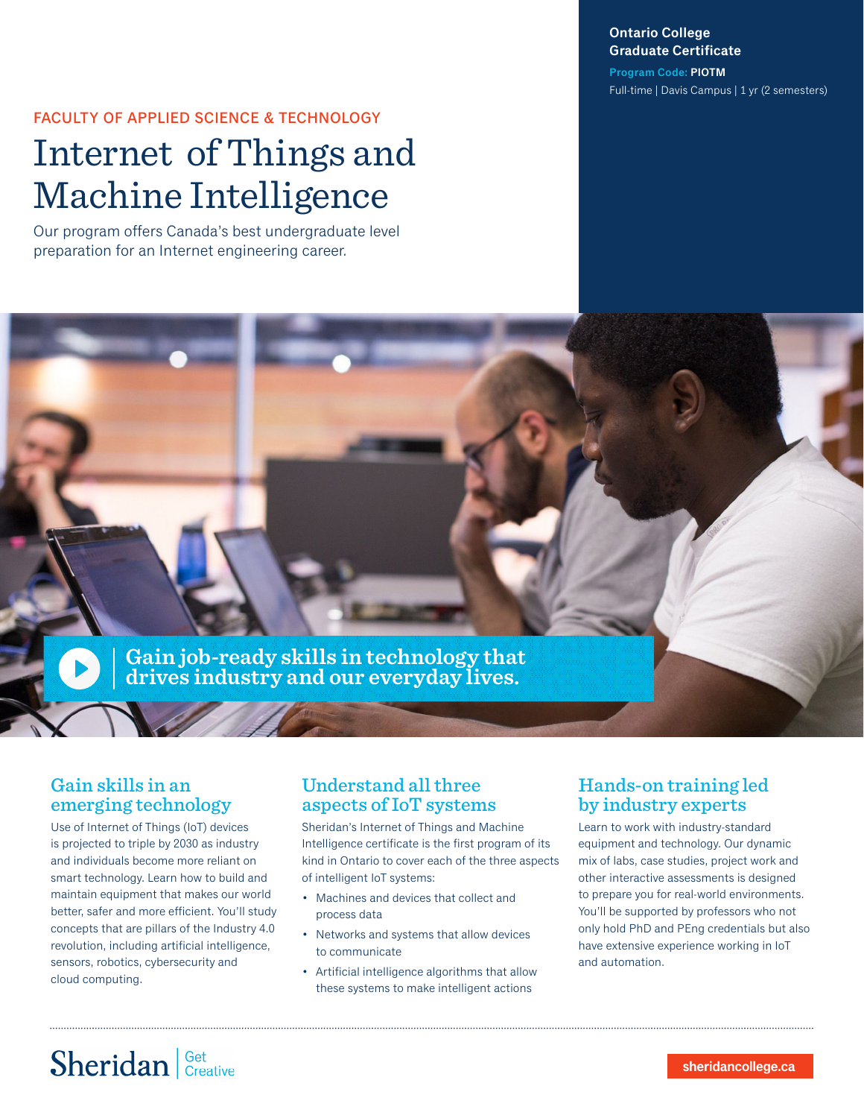**Ontario College Graduate Certificate**

**Program Code: PIOTM** Full-time | Davis Campus | 1 yr (2 semesters)

### FACULTY OF APPLIED SCIENCE & TECHNOLOGY

# Internet of Things and Machine Intelligence

Our program offers Canada's best undergraduate level preparation for an Internet engineering career.



### Gain skills in an emerging technology

Use of Internet of Things (IoT) devices is projected to triple by 2030 as industry and individuals become more reliant on smart technology. Learn how to build and maintain equipment that makes our world better, safer and more efficient. You'll study concepts that are pillars of the Industry 4.0 revolution, including artificial intelligence, sensors, robotics, cybersecurity and cloud computing.

### Understand all three aspects of IoT systems

Sheridan's Internet of Things and Machine Intelligence certificate is the first program of its kind in Ontario to cover each of the three aspects of intelligent IoT systems:

- Machines and devices that collect and process data
- Networks and systems that allow devices to communicate
- Artificial intelligence algorithms that allow these systems to make intelligent actions

### Hands-on training led by industry experts

Learn to work with industry-standard equipment and technology. Our dynamic mix of labs, case studies, project work and other interactive assessments is designed to prepare you for real-world environments. You'll be supported by professors who not only hold PhD and PEng credentials but also have extensive experience working in IoT and automation.

# Sheridan Get Creative